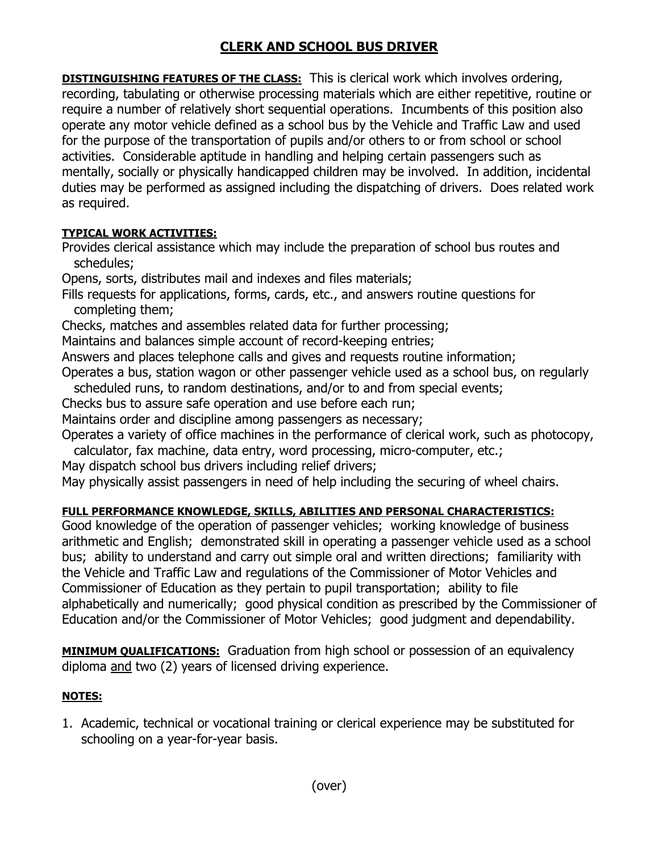## **CLERK AND SCHOOL BUS DRIVER**

**DISTINGUISHING FEATURES OF THE CLASS:** This is clerical work which involves ordering, recording, tabulating or otherwise processing materials which are either repetitive, routine or require a number of relatively short sequential operations. Incumbents of this position also operate any motor vehicle defined as a school bus by the Vehicle and Traffic Law and used for the purpose of the transportation of pupils and/or others to or from school or school activities. Considerable aptitude in handling and helping certain passengers such as mentally, socially or physically handicapped children may be involved. In addition, incidental duties may be performed as assigned including the dispatching of drivers. Does related work as required.

## **TYPICAL WORK ACTIVITIES:**

Provides clerical assistance which may include the preparation of school bus routes and schedules;

Opens, sorts, distributes mail and indexes and files materials;

Fills requests for applications, forms, cards, etc., and answers routine questions for completing them;

Checks, matches and assembles related data for further processing;

Maintains and balances simple account of record-keeping entries;

Answers and places telephone calls and gives and requests routine information;

Operates a bus, station wagon or other passenger vehicle used as a school bus, on regularly scheduled runs, to random destinations, and/or to and from special events;

Checks bus to assure safe operation and use before each run;

Maintains order and discipline among passengers as necessary;

Operates a variety of office machines in the performance of clerical work, such as photocopy,

calculator, fax machine, data entry, word processing, micro-computer, etc.;

May dispatch school bus drivers including relief drivers;

May physically assist passengers in need of help including the securing of wheel chairs.

## **FULL PERFORMANCE KNOWLEDGE, SKILLS, ABILITIES AND PERSONAL CHARACTERISTICS:**

Good knowledge of the operation of passenger vehicles; working knowledge of business arithmetic and English; demonstrated skill in operating a passenger vehicle used as a school bus; ability to understand and carry out simple oral and written directions; familiarity with the Vehicle and Traffic Law and regulations of the Commissioner of Motor Vehicles and Commissioner of Education as they pertain to pupil transportation; ability to file alphabetically and numerically; good physical condition as prescribed by the Commissioner of Education and/or the Commissioner of Motor Vehicles; good judgment and dependability.

**MINIMUM QUALIFICATIONS:** Graduation from high school or possession of an equivalency diploma and two (2) years of licensed driving experience.

## **NOTES:**

1. Academic, technical or vocational training or clerical experience may be substituted for schooling on a year-for-year basis.